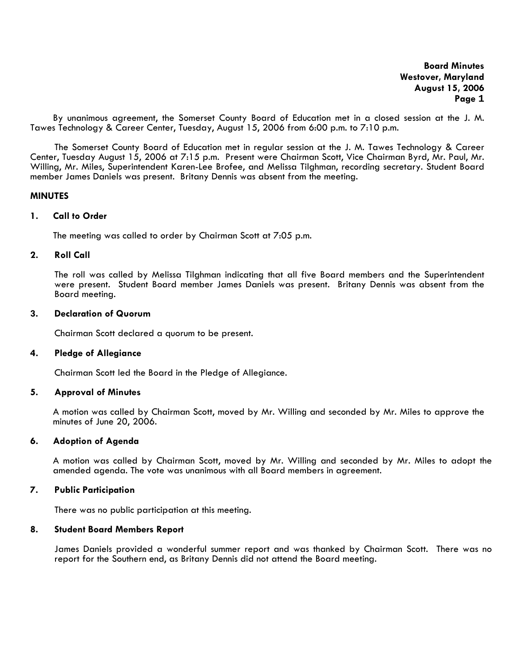By unanimous agreement, the Somerset County Board of Education met in a closed session at the J. M. Tawes Technology & Career Center, Tuesday, August 15, 2006 from 6:00 p.m. to 7:10 p.m.

The Somerset County Board of Education met in regular session at the J. M. Tawes Technology & Career Center, Tuesday August 15, 2006 at 7:15 p.m. Present were Chairman Scott, Vice Chairman Byrd, Mr. Paul, Mr. Willing, Mr. Miles, Superintendent Karen-Lee Brofee, and Melissa Tilghman, recording secretary. Student Board member James Daniels was present. Britany Dennis was absent from the meeting.

### **MINUTES**

#### **1. Call to Order**

The meeting was called to order by Chairman Scott at 7:05 p.m.

### **2. Roll Call**

The roll was called by Melissa Tilghman indicating that all five Board members and the Superintendent were present. Student Board member James Daniels was present. Britany Dennis was absent from the Board meeting.

#### **3. Declaration of Quorum**

Chairman Scott declared a quorum to be present.

#### **4. Pledge of Allegiance**

Chairman Scott led the Board in the Pledge of Allegiance.

## **5. Approval of Minutes**

 A motion was called by Chairman Scott, moved by Mr. Willing and seconded by Mr. Miles to approve the minutes of June 20, 2006.

#### **6. Adoption of Agenda**

A motion was called by Chairman Scott, moved by Mr. Willing and seconded by Mr. Miles to adopt the amended agenda. The vote was unanimous with all Board members in agreement.

## **7. Public Participation**

There was no public participation at this meeting.

## **8. Student Board Members Report**

James Daniels provided a wonderful summer report and was thanked by Chairman Scott. There was no report for the Southern end, as Britany Dennis did not attend the Board meeting.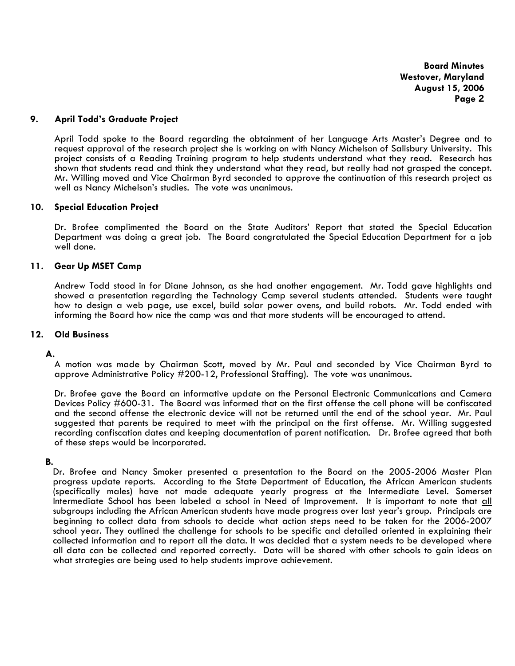### **9. April Todd's Graduate Project**

April Todd spoke to the Board regarding the obtainment of her Language Arts Master's Degree and to request approval of the research project she is working on with Nancy Michelson of Salisbury University. This project consists of a Reading Training program to help students understand what they read. Research has shown that students read and think they understand what they read, but really had not grasped the concept. Mr. Willing moved and Vice Chairman Byrd seconded to approve the continuation of this research project as well as Nancy Michelson's studies. The vote was unanimous.

### **10. Special Education Project**

Dr. Brofee complimented the Board on the State Auditors' Report that stated the Special Education Department was doing a great job. The Board congratulated the Special Education Department for a job well done.

#### **11. Gear Up MSET Camp**

Andrew Todd stood in for Diane Johnson, as she had another engagement. Mr. Todd gave highlights and showed a presentation regarding the Technology Camp several students attended. Students were taught how to design a web page, use excel, build solar power ovens, and build robots. Mr. Todd ended with informing the Board how nice the camp was and that more students will be encouraged to attend.

## **12. Old Business**

#### **A.**

A motion was made by Chairman Scott, moved by Mr. Paul and seconded by Vice Chairman Byrd to approve Administrative Policy #200-12, Professional Staffing). The vote was unanimous.

Dr. Brofee gave the Board an informative update on the Personal Electronic Communications and Camera Devices Policy #600-31. The Board was informed that on the first offense the cell phone will be confiscated and the second offense the electronic device will not be returned until the end of the school year. Mr. Paul suggested that parents be required to meet with the principal on the first offense. Mr. Willing suggested recording confiscation dates and keeping documentation of parent notification. Dr. Brofee agreed that both of these steps would be incorporated.

### **B.**

Dr. Brofee and Nancy Smoker presented a presentation to the Board on the 2005-2006 Master Plan progress update reports. According to the State Department of Education, the African American students (specifically males) have not made adequate yearly progress at the Intermediate Level. Somerset Intermediate School has been labeled a school in Need of Improvement. It is important to note that all subgroups including the African American students have made progress over last year's group. Principals are beginning to collect data from schools to decide what action steps need to be taken for the 2006-2007 school year. They outlined the challenge for schools to be specific and detailed oriented in explaining their collected information and to report all the data. It was decided that a system needs to be developed where all data can be collected and reported correctly. Data will be shared with other schools to gain ideas on what strategies are being used to help students improve achievement.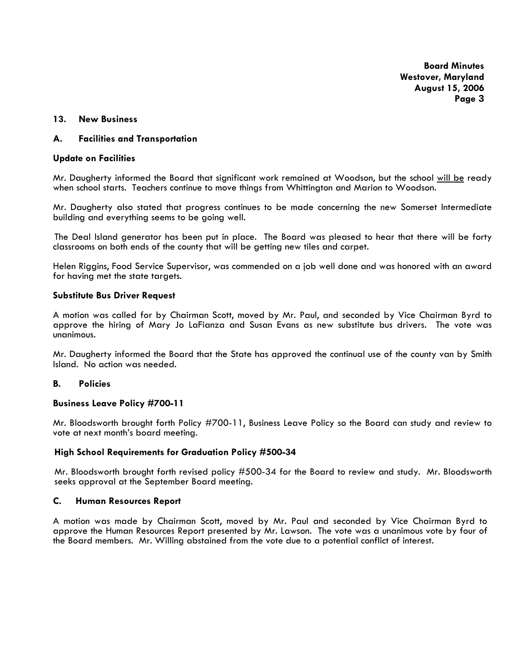### **13. New Business**

# **A. Facilities and Transportation**

#### **Update on Facilities**

Mr. Daugherty informed the Board that significant work remained at Woodson, but the school will be ready when school starts. Teachers continue to move things from Whittington and Marion to Woodson.

Mr. Daugherty also stated that progress continues to be made concerning the new Somerset Intermediate building and everything seems to be going well.

The Deal Island generator has been put in place. The Board was pleased to hear that there will be forty classrooms on both ends of the county that will be getting new tiles and carpet.

Helen Riggins, Food Service Supervisor, was commended on a job well done and was honored with an award for having met the state targets.

#### **Substitute Bus Driver Request**

A motion was called for by Chairman Scott, moved by Mr. Paul, and seconded by Vice Chairman Byrd to approve the hiring of Mary Jo LaFianza and Susan Evans as new substitute bus drivers. The vote was unanimous.

Mr. Daugherty informed the Board that the State has approved the continual use of the county van by Smith Island. No action was needed.

## **B. Policies**

### **Business Leave Policy #700-11**

Mr. Bloodsworth brought forth Policy #700-11, Business Leave Policy so the Board can study and review to vote at next month's board meeting.

### **High School Requirements for Graduation Policy #500-34**

Mr. Bloodsworth brought forth revised policy #500-34 for the Board to review and study. Mr. Bloodsworth seeks approval at the September Board meeting.

### **C. Human Resources Report**

A motion was made by Chairman Scott, moved by Mr. Paul and seconded by Vice Chairman Byrd to approve the Human Resources Report presented by Mr. Lawson. The vote was a unanimous vote by four of the Board members. Mr. Willing abstained from the vote due to a potential conflict of interest.